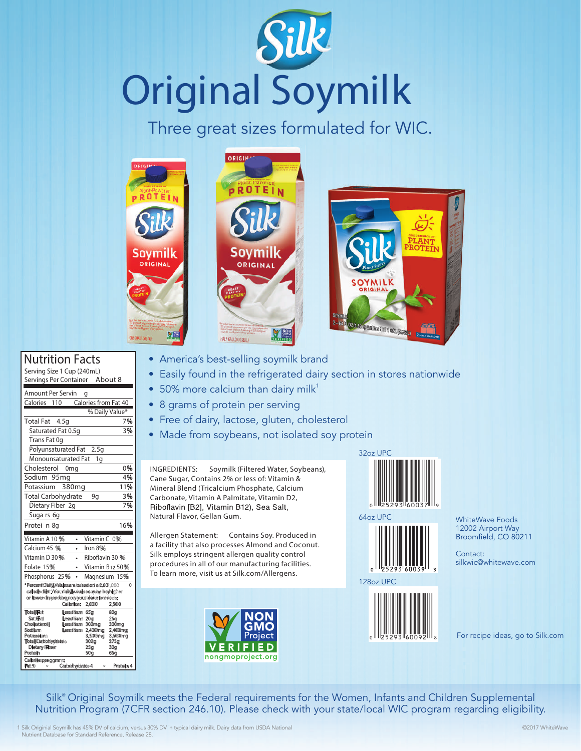## **Original Soymilk**

Three great sizes formulated for WIC.







Nutrition Facts

| Serving Size 1 Cup (240mL)                                                                  |                 |   |                             |                             |  |
|---------------------------------------------------------------------------------------------|-----------------|---|-----------------------------|-----------------------------|--|
| Servings Per Container About 8                                                              |                 |   |                             |                             |  |
| <b>Amount Per Servin</b>                                                                    |                 |   | g                           |                             |  |
| Calories<br>110                                                                             |                 |   | Calories from Fat 40        |                             |  |
|                                                                                             |                 |   |                             | % Daily Value*              |  |
| <b>Total Fat</b>                                                                            | 4.5q            |   |                             | 7%                          |  |
| Saturated Fat 0.5q                                                                          |                 |   |                             | 3%                          |  |
| Trans Fat 0q                                                                                |                 |   |                             |                             |  |
| Polyunsaturated Fat<br>2.5q                                                                 |                 |   |                             |                             |  |
| Monounsaturated Fat<br>1g                                                                   |                 |   |                             |                             |  |
| Cholesterol                                                                                 | 0 <sub>mg</sub> |   |                             | 0%                          |  |
| Sodium 95mg                                                                                 |                 |   |                             | 4%                          |  |
| Potassium                                                                                   | 380mg           |   |                             | 11%                         |  |
| <b>Total Carbohydrate</b>                                                                   |                 |   | 9g                          | 3%                          |  |
| Dietary Fiber 2q                                                                            |                 |   |                             | 7%                          |  |
| Suga rs 6q                                                                                  |                 |   |                             |                             |  |
| Protei n 8q                                                                                 |                 |   |                             | 16%                         |  |
| Vitamin A 10%                                                                               |                 | ٠ | Vitamin $C$ 0%              |                             |  |
| Calcium 45 %                                                                                |                 |   | Iron $8%$                   |                             |  |
| Vitamin D 30%                                                                               |                 |   | Riboflavin 30 %             |                             |  |
| Folate 15%                                                                                  |                 |   |                             | Vitamin B <sub>12</sub> 50% |  |
| Phosphorus 25%                                                                              |                 |   |                             | Magnesium 15%               |  |
| *PercentiDailly/Values are besed on a 2,000                                                 |                 |   |                             | 0                           |  |
| caloriediet.Youri daily avalues may be higher<br>or lower dispending on your dalarie needs: |                 |   |                             |                             |  |
|                                                                                             | Calories:       |   | 2,000                       | 2,500                       |  |
| <b>Total Fat</b>                                                                            | Leestban 65g    |   |                             | 80a                         |  |
| <b>Set Fiet</b><br>Cholesterol                                                              | Leastban 20g    |   | Leestban 300mg              | 25 <sub>q</sub><br>300mg    |  |
| Sodium<br>Potassium                                                                         |                 |   | Leastban 2,400mg<br>3,500mg | 2,400mg<br>3,500mg          |  |
| <b>Total Carbohvdrate</b>                                                                   |                 |   | 300a                        | 375g                        |  |
| <b>Dietary Filter</b><br><b>Protein</b>                                                     |                 |   | 25a<br>50g                  | 30a<br>65a                  |  |
| Calories:per.gram:                                                                          |                 |   |                             |                             |  |
| Fat <sup>9</sup><br>٥                                                                       | Carbohydrate 4  |   | ٥                           | Protein 4                   |  |

- America's best-selling soymilk brand
- Easily found in the refrigerated dairy section in stores nationwide
- 50% more calcium than dairy milk<sup>1</sup>
- 8 grams of protein per serving
- Free of dairy, lactose, gluten, cholesterol
- Made from soybeans, not isolated soy protein

**INGREDIENTS:** Soymilk (Filtered Water, Soybeans), Cane Sugar, Contains 2% or less of: Vitamin & Mineral Blend (Tricalcium Phosphate, Calcium Carbonate, Vitamin A Palmitate, Vitamin D2, Riboflavin [B2], Vitamin B12), Sea Salt, Natural Flavor, Gellan Gum.

**Allergen Statement:** Contains Soy. Produced in a facility that also processes Almond and Coconut. Silk employs stringent allergen quality control procedures in all of our manufacturing facilities. To learn more, visit us at Silk.com/Allergens.









WhiteWave Foods 12002 Airport Way

Contact: silkwic@whitewave.com

For recipe ideas, go to Silk.com

Silk® Original Soymilk meets the Federal requirements for the Women, Infants and Children Supplemental Nutrition Program (7CFR section 246.10). Please check with your state/local WIC program regarding eligibility.